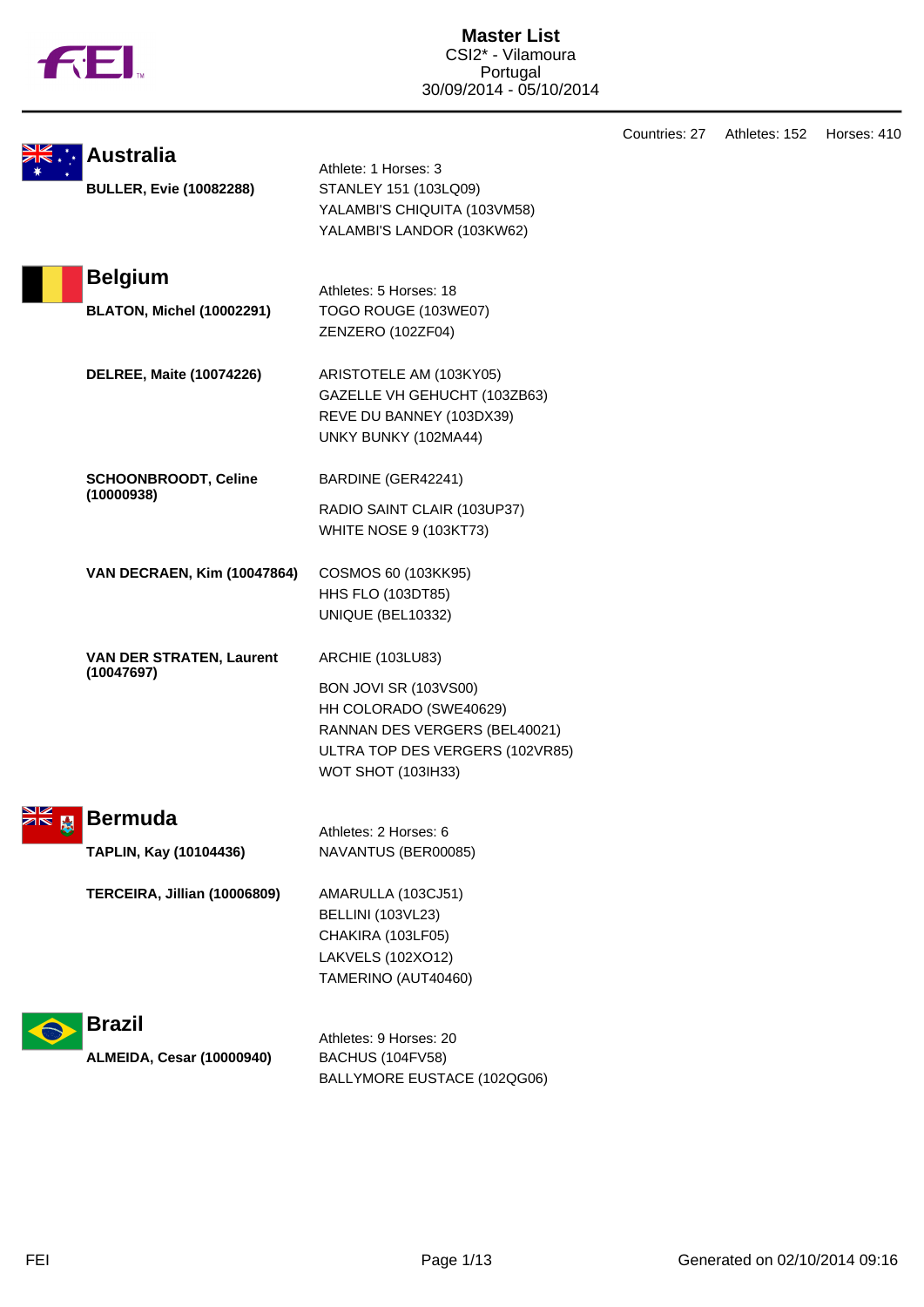|  |  | ΤM |
|--|--|----|
|  |  |    |

|                    |                                                    |                                                                                                                                                                                    | Countries: 27 | Athletes: 152 | Horses: 410 |
|--------------------|----------------------------------------------------|------------------------------------------------------------------------------------------------------------------------------------------------------------------------------------|---------------|---------------|-------------|
|                    | <b>Australia</b><br><b>BULLER, Evie (10082288)</b> | Athlete: 1 Horses: 3<br>STANLEY 151 (103LQ09)<br>YALAMBI'S CHIQUITA (103VM58)<br>YALAMBI'S LANDOR (103KW62)                                                                        |               |               |             |
|                    | <b>Belgium</b><br><b>BLATON, Michel (10002291)</b> | Athletes: 5 Horses: 18<br>TOGO ROUGE (103WE07)<br>ZENZERO (102ZF04)                                                                                                                |               |               |             |
|                    | <b>DELREE, Maite (10074226)</b>                    | ARISTOTELE AM (103KY05)<br>GAZELLE VH GEHUCHT (103ZB63)<br>REVE DU BANNEY (103DX39)<br>UNKY BUNKY (102MA44)                                                                        |               |               |             |
|                    | <b>SCHOONBROODT, Celine</b><br>(10000938)          | BARDINE (GER42241)<br>RADIO SAINT CLAIR (103UP37)<br><b>WHITE NOSE 9 (103KT73)</b>                                                                                                 |               |               |             |
|                    | <b>VAN DECRAEN, Kim (10047864)</b>                 | COSMOS 60 (103KK95)<br><b>HHS FLO (103DT85)</b><br>UNIQUE (BEL10332)                                                                                                               |               |               |             |
|                    | <b>VAN DER STRATEN, Laurent</b><br>(10047697)      | <b>ARCHIE (103LU83)</b><br><b>BON JOVI SR (103VS00)</b><br>HH COLORADO (SWE40629)<br>RANNAN DES VERGERS (BEL40021)<br>ULTRA TOP DES VERGERS (102VR85)<br><b>WOT SHOT (103IH33)</b> |               |               |             |
| NZ 1<br><b>ZIR</b> | <b>Bermuda</b><br>TAPLIN, Kay (10104436)           | Athletes: 2 Horses: 6<br>NAVANTUS (BER00085)                                                                                                                                       |               |               |             |
|                    | TERCEIRA, Jillian (10006809)                       | AMARULLA (103CJ51)<br><b>BELLINI (103VL23)</b><br>CHAKIRA (103LF05)<br>LAKVELS (102XO12)<br>TAMERINO (AUT40460)                                                                    |               |               |             |
|                    | <b>Brazil</b>                                      | Athletes: 9 Horses: 20                                                                                                                                                             |               |               |             |
|                    | <b>ALMEIDA, Cesar (10000940)</b>                   | BACHUS (104FV58)                                                                                                                                                                   |               |               |             |

BALLYMORE EUSTACE (102QG06)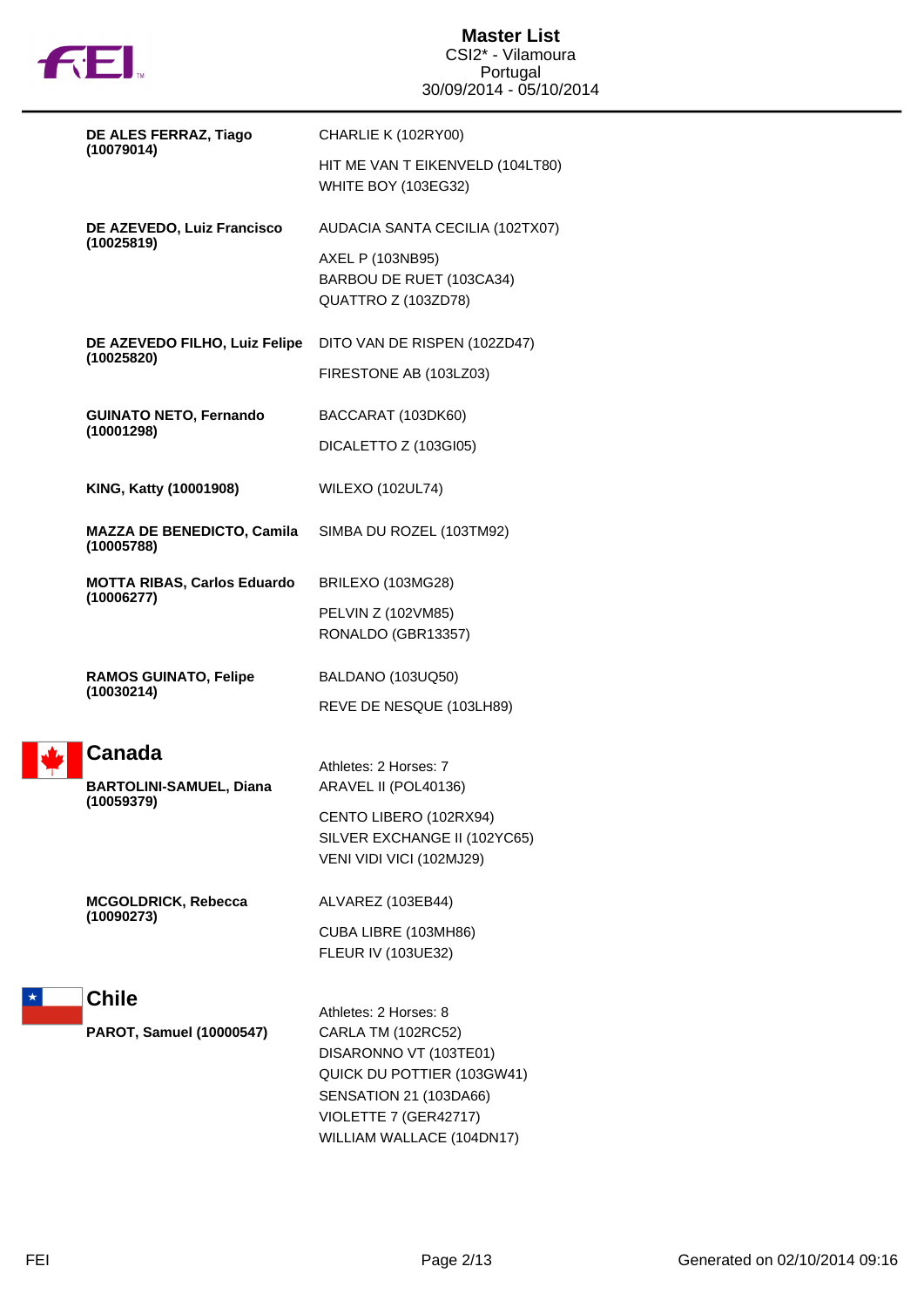

| DE ALES FERRAZ, Tiago                                         | CHARLIE K (102RY00)                                                                                                                                                                 |
|---------------------------------------------------------------|-------------------------------------------------------------------------------------------------------------------------------------------------------------------------------------|
| (10079014)                                                    | HIT ME VAN T EIKENVELD (104LT80)<br><b>WHITE BOY (103EG32)</b>                                                                                                                      |
| DE AZEVEDO, Luiz Francisco                                    | AUDACIA SANTA CECILIA (102TX07)                                                                                                                                                     |
| (10025819)                                                    | AXEL P (103NB95)<br>BARBOU DE RUET (103CA34)<br>QUATTRO Z (103ZD78)                                                                                                                 |
| DE AZEVEDO FILHO, Luiz Felipe                                 | DITO VAN DE RISPEN (102ZD47)                                                                                                                                                        |
| (10025820)                                                    | FIRESTONE AB (103LZ03)                                                                                                                                                              |
| <b>GUINATO NETO, Fernando</b>                                 | BACCARAT (103DK60)                                                                                                                                                                  |
| (10001298)                                                    | DICALETTO Z (103GI05)                                                                                                                                                               |
| KING, Katty (10001908)                                        | <b>WILEXO (102UL74)</b>                                                                                                                                                             |
| <b>MAZZA DE BENEDICTO, Camila</b><br>(10005788)               | SIMBA DU ROZEL (103TM92)                                                                                                                                                            |
| <b>MOTTA RIBAS, Carlos Eduardo</b><br>(10006277)              | BRILEXO (103MG28)                                                                                                                                                                   |
|                                                               | PELVIN Z (102VM85)<br>RONALDO (GBR13357)                                                                                                                                            |
| <b>RAMOS GUINATO, Felipe</b><br>(10030214)                    | BALDANO (103UQ50)                                                                                                                                                                   |
|                                                               | REVE DE NESQUE (103LH89)                                                                                                                                                            |
| <b>Canada</b><br><b>BARTOLINI-SAMUEL, Diana</b><br>(10059379) | Athletes: 2 Horses: 7<br>ARAVEL II (POL40136)                                                                                                                                       |
|                                                               | CENTO LIBERO (102RX94)<br>SILVER EXCHANGE II (102YC65)<br>VENI VIDI VICI (102MJ29)                                                                                                  |
| <b>MCGOLDRICK, Rebecca</b>                                    | ALVAREZ (103EB44)                                                                                                                                                                   |
| (10090273)                                                    | CUBA LIBRE (103MH86)<br>FLEUR IV (103UE32)                                                                                                                                          |
| <b>Chile</b>                                                  |                                                                                                                                                                                     |
| PAROT, Samuel (10000547)                                      | Athletes: 2 Horses: 8<br>CARLA TM (102RC52)<br>DISARONNO VT (103TE01)<br>QUICK DU POTTIER (103GW41)<br>SENSATION 21 (103DA66)<br>VIOLETTE 7 (GER42717)<br>WILLIAM WALLACE (104DN17) |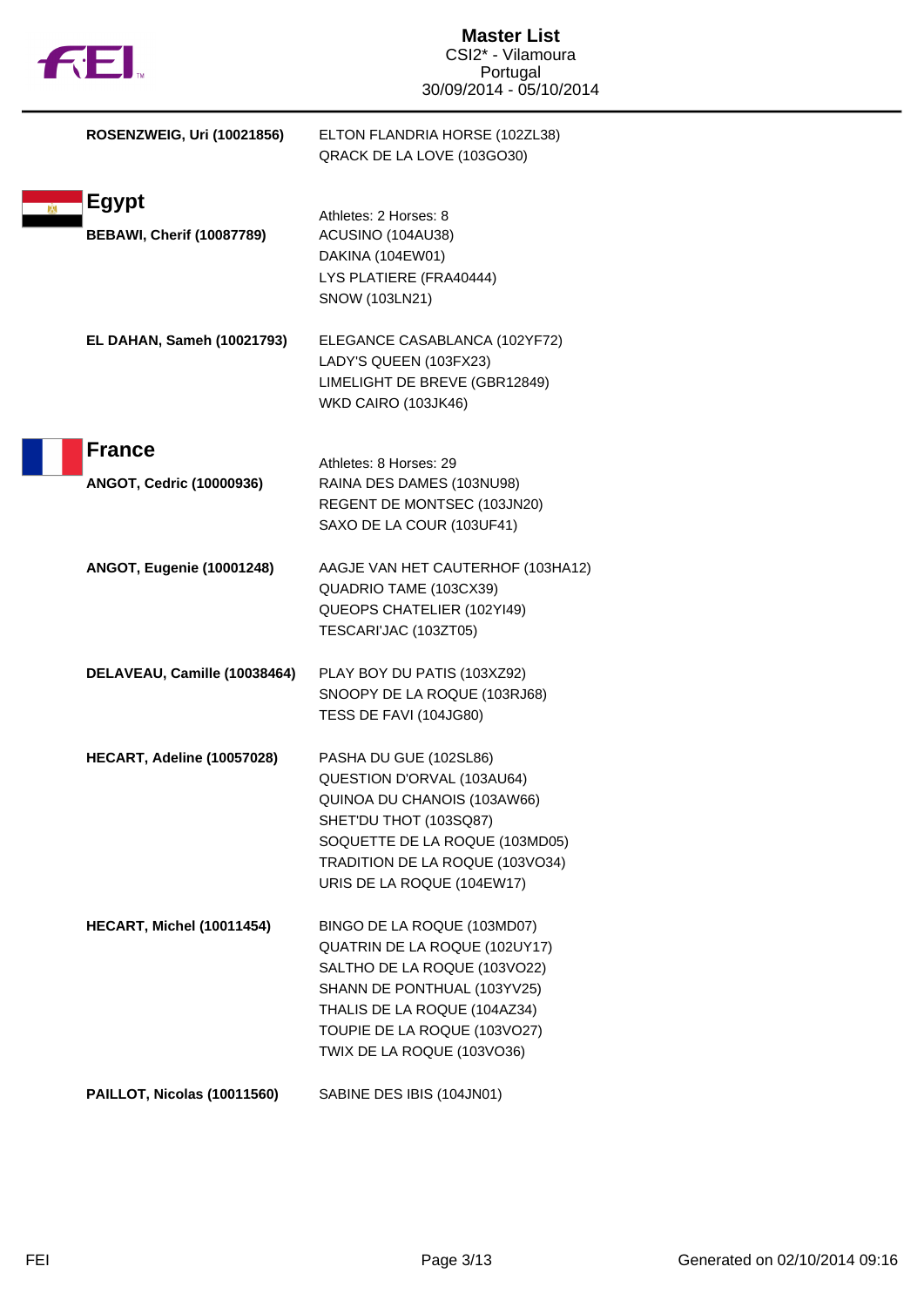| <b>TUEL</b>                                      | <b>Master List</b><br>CSI2* - Vilamoura<br>Portugal<br>30/09/2014 - 05/10/2014                                                                                                                                            |
|--------------------------------------------------|---------------------------------------------------------------------------------------------------------------------------------------------------------------------------------------------------------------------------|
| <b>ROSENZWEIG, Uri (10021856)</b>                | ELTON FLANDRIA HORSE (102ZL38)<br>QRACK DE LA LOVE (103GO30)                                                                                                                                                              |
| <b>Egypt</b><br><b>BEBAWI, Cherif (10087789)</b> | Athletes: 2 Horses: 8<br>ACUSINO (104AU38)<br>DAKINA (104EW01)<br>LYS PLATIERE (FRA40444)<br>SNOW (103LN21)                                                                                                               |
| <b>EL DAHAN, Sameh (10021793)</b>                | ELEGANCE CASABLANCA (102YF72)<br>LADY'S QUEEN (103FX23)<br>LIMELIGHT DE BREVE (GBR12849)<br>WKD CAIRO (103JK46)                                                                                                           |
| <b>France</b><br><b>ANGOT, Cedric (10000936)</b> | Athletes: 8 Horses: 29<br>RAINA DES DAMES (103NU98)<br>REGENT DE MONTSEC (103JN20)<br>SAXO DE LA COUR (103UF41)                                                                                                           |
| <b>ANGOT, Eugenie (10001248)</b>                 | AAGJE VAN HET CAUTERHOF (103HA12)<br>QUADRIO TAME (103CX39)<br>QUEOPS CHATELIER (102YI49)<br>TESCARI'JAC (103ZT05)                                                                                                        |
| DELAVEAU, Camille (10038464)                     | PLAY BOY DU PATIS (103XZ92)<br>SNOOPY DE LA ROQUE (103RJ68)<br>TESS DE FAVI (104JG80)                                                                                                                                     |
| HECART, Adeline (10057028)                       | PASHA DU GUE (102SL86)<br>QUESTION D'ORVAL (103AU64)<br>QUINOA DU CHANOIS (103AW66)<br>SHET'DU THOT (103SQ87)<br>SOQUETTE DE LA ROQUE (103MD05)<br>TRADITION DE LA ROQUE (103VO34)<br>URIS DE LA ROQUE (104EW17)          |
| <b>HECART, Michel (10011454)</b>                 | BINGO DE LA ROQUE (103MD07)<br>QUATRIN DE LA ROQUE (102UY17)<br>SALTHO DE LA ROQUE (103VO22)<br>SHANN DE PONTHUAL (103YV25)<br>THALIS DE LA ROQUE (104AZ34)<br>TOUPIE DE LA ROQUE (103VO27)<br>TWIX DE LA ROQUE (103VO36) |
| PAILLOT, Nicolas (10011560)                      | SABINE DES IBIS (104JN01)                                                                                                                                                                                                 |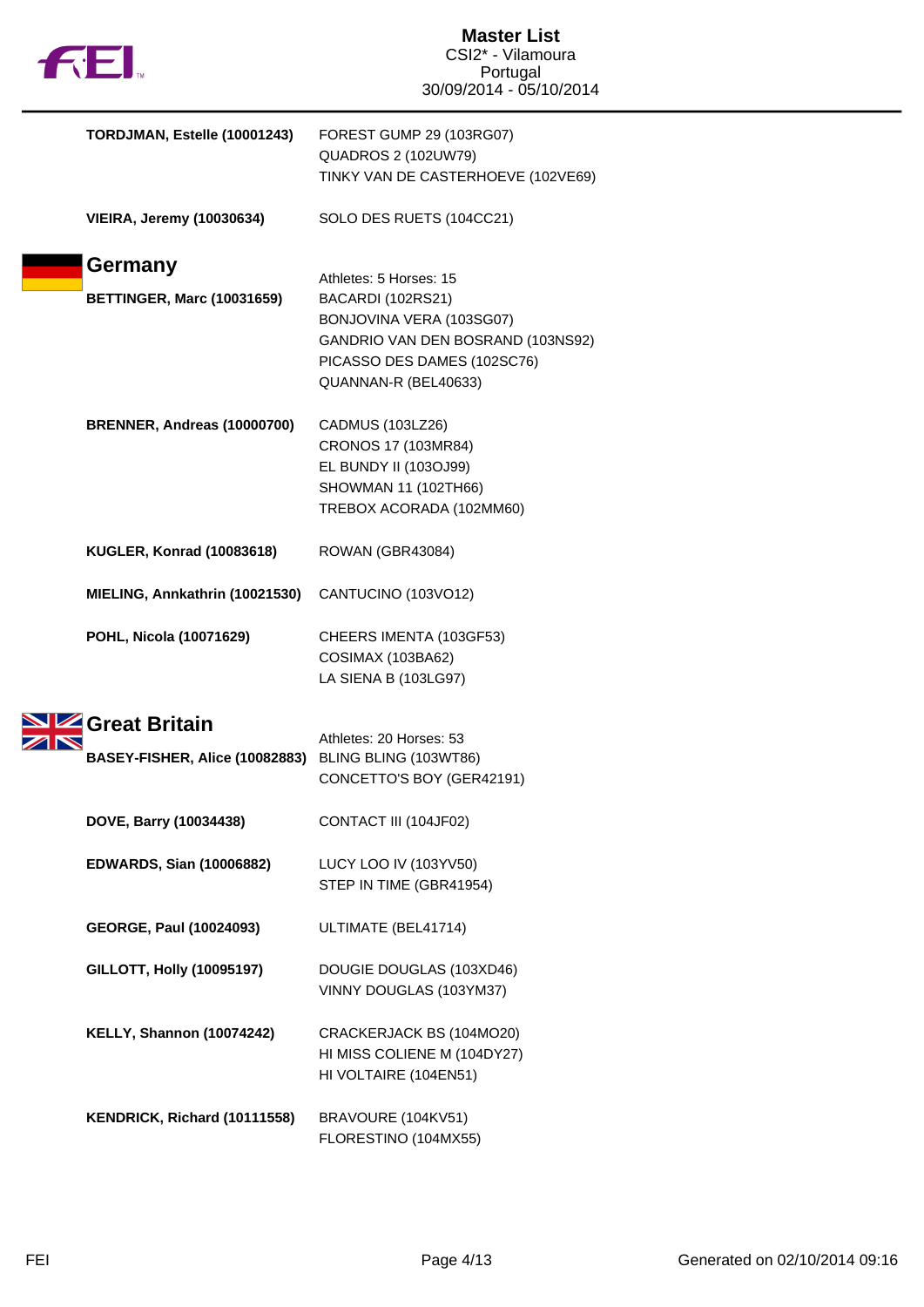| <b>THEI.</b>                      | <b>Master List</b><br>CSI2* - Vilamoura<br>Portugal<br>30/09/2014 - 05/10/2014                                                                                      |
|-----------------------------------|---------------------------------------------------------------------------------------------------------------------------------------------------------------------|
| TORDJMAN, Estelle (10001243)      | FOREST GUMP 29 (103RG07)<br><b>QUADROS 2 (102UW79)</b><br>TINKY VAN DE CASTERHOEVE (102VE69)                                                                        |
| <b>VIEIRA, Jeremy (10030634)</b>  | SOLO DES RUETS (104CC21)                                                                                                                                            |
| <b>Germany</b>                    |                                                                                                                                                                     |
| <b>BETTINGER, Marc (10031659)</b> | Athletes: 5 Horses: 15<br>BACARDI (102RS21)<br>BONJOVINA VERA (103SG07)<br>GANDRIO VAN DEN BOSRAND (103NS92)<br>PICASSO DES DAMES (102SC76)<br>QUANNAN-R (BEL40633) |
| BRENNER, Andreas (10000700)       | CADMUS (103LZ26)<br>CRONOS 17 (103MR84)<br>EL BUNDY II (103OJ99)<br>SHOWMAN 11 (102TH66)<br>TREBOX ACORADA (102MM60)                                                |
| <b>KUGLER, Konrad (10083618)</b>  | ROWAN (GBR43084)                                                                                                                                                    |
| MIELING, Annkathrin (10021530)    | CANTUCINO (103VO12)                                                                                                                                                 |
| POHL, Nicola (10071629)           | CHEERS IMENTA (103GF53)<br>COSIMAX (103BA62)<br>LA SIENA B (103LG97)                                                                                                |
| Great Britain                     |                                                                                                                                                                     |
| BASEY-FISHER, Alice (10082883)    | Athletes: 20 Horses: 53<br>BLING BLING (103WT86)                                                                                                                    |
|                                   | CONCETTO'S BOY (GER42191)                                                                                                                                           |
| DOVE, Barry (10034438)            | CONTACT III (104JF02)                                                                                                                                               |
| <b>EDWARDS, Sian (10006882)</b>   | LUCY LOO IV (103YV50)<br>STEP IN TIME (GBR41954)                                                                                                                    |
| <b>GEORGE, Paul (10024093)</b>    | ULTIMATE (BEL41714)                                                                                                                                                 |
| <b>GILLOTT, Holly (10095197)</b>  | DOUGIE DOUGLAS (103XD46)<br>VINNY DOUGLAS (103YM37)                                                                                                                 |
| <b>KELLY, Shannon (10074242)</b>  | CRACKERJACK BS (104MO20)<br>HI MISS COLIENE M (104DY27)<br>HI VOLTAIRE (104EN51)                                                                                    |
| KENDRICK, Richard (10111558)      | BRAVOURE (104KV51)<br>FLORESTINO (104MX55)                                                                                                                          |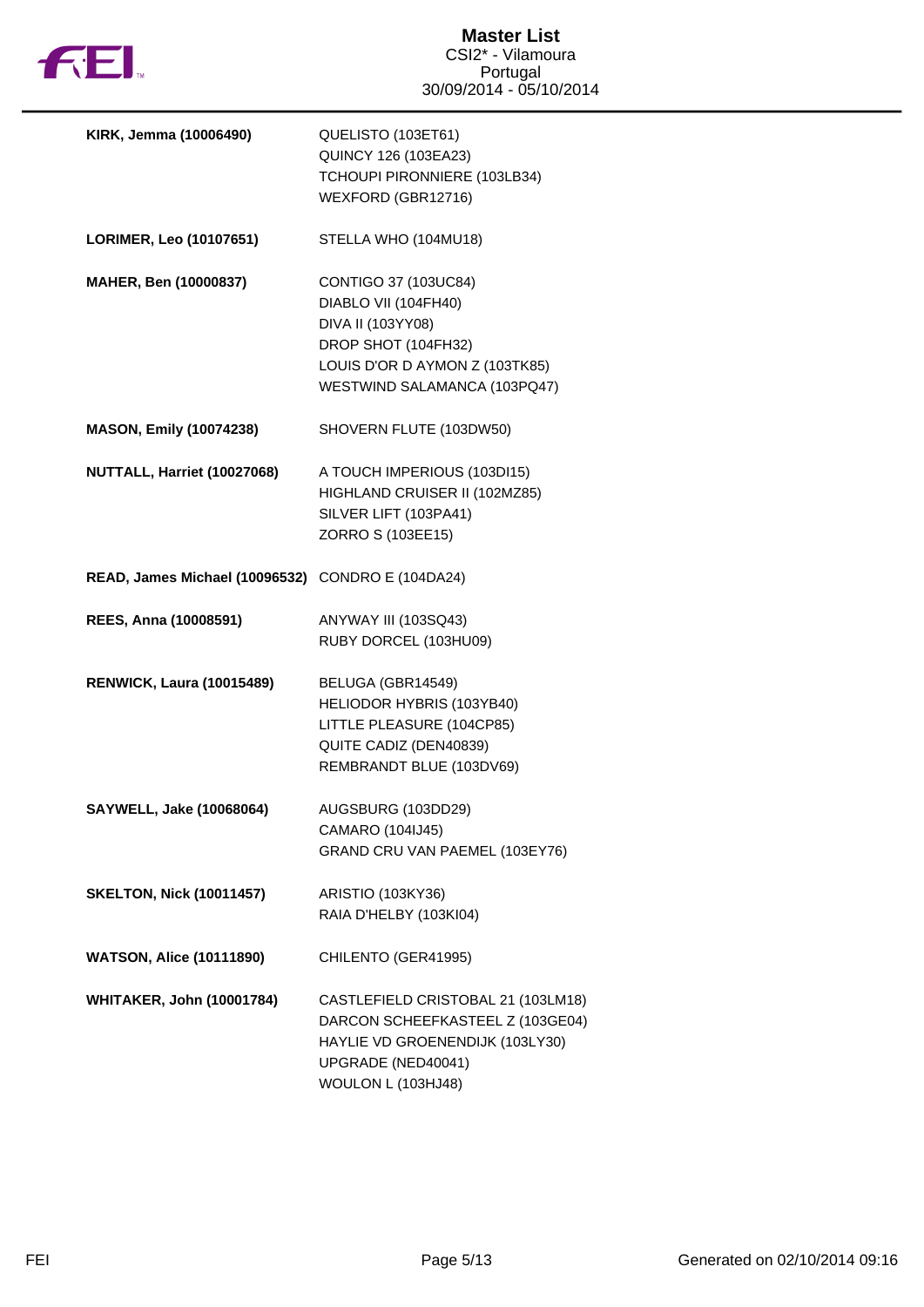

| KIRK, Jemma (10006490)                            | QUELISTO (103ET61)                 |
|---------------------------------------------------|------------------------------------|
|                                                   | QUINCY 126 (103EA23)               |
|                                                   | TCHOUPI PIRONNIERE (103LB34)       |
|                                                   | WEXFORD (GBR12716)                 |
| LORIMER, Leo (10107651)                           | STELLA WHO (104MU18)               |
| MAHER, Ben (10000837)                             | CONTIGO 37 (103UC84)               |
|                                                   | DIABLO VII (104FH40)               |
|                                                   | DIVA II (103YY08)                  |
|                                                   | DROP SHOT (104FH32)                |
|                                                   | LOUIS D'OR D AYMON Z (103TK85)     |
|                                                   | WESTWIND SALAMANCA (103PQ47)       |
| <b>MASON, Emily (10074238)</b>                    | SHOVERN FLUTE (103DW50)            |
| NUTTALL, Harriet (10027068)                       | A TOUCH IMPERIOUS (103DI15)        |
|                                                   | HIGHLAND CRUISER II (102MZ85)      |
|                                                   | SILVER LIFT (103PA41)              |
|                                                   | ZORRO S (103EE15)                  |
|                                                   |                                    |
| READ, James Michael (10096532) CONDRO E (104DA24) |                                    |
| REES, Anna (10008591)                             | ANYWAY III (103SQ43)               |
|                                                   | RUBY DORCEL (103HU09)              |
|                                                   |                                    |
| <b>RENWICK, Laura (10015489)</b>                  | BELUGA (GBR14549)                  |
|                                                   | HELIODOR HYBRIS (103YB40)          |
|                                                   | LITTLE PLEASURE (104CP85)          |
|                                                   | QUITE CADIZ (DEN40839)             |
|                                                   | REMBRANDT BLUE (103DV69)           |
| SAYWELL, Jake (10068064)                          | AUGSBURG (103DD29)                 |
|                                                   | CAMARO (104IJ45)                   |
|                                                   | GRAND CRU VAN PAEMEL (103EY76)     |
| <b>SKELTON, Nick (10011457)</b>                   | ARISTIO (103KY36)                  |
|                                                   | RAIA D'HELBY (103KI04)             |
| <b>WATSON, Alice (10111890)</b>                   | CHILENTO (GER41995)                |
| <b>WHITAKER, John (10001784)</b>                  | CASTLEFIELD CRISTOBAL 21 (103LM18) |
|                                                   | DARCON SCHEEFKASTEEL Z (103GE04)   |
|                                                   | HAYLIE VD GROENENDIJK (103LY30)    |
|                                                   | UPGRADE (NED40041)                 |
|                                                   | WOULON L (103HJ48)                 |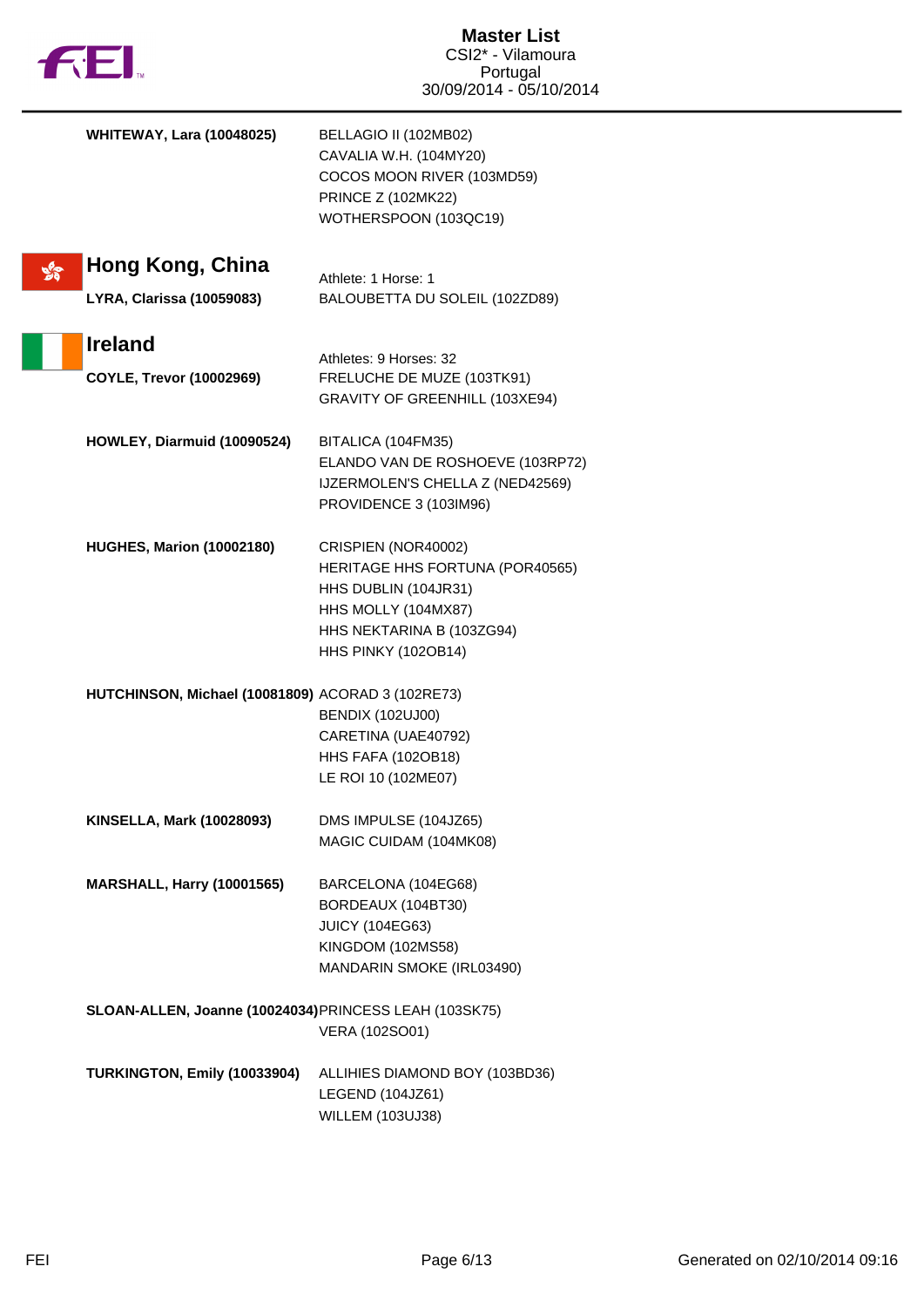| f t                                                      | <b>Master List</b><br>CSI2* - Vilamoura<br>Portugal<br>30/09/2014 - 05/10/2014                                                                            |
|----------------------------------------------------------|-----------------------------------------------------------------------------------------------------------------------------------------------------------|
| <b>WHITEWAY, Lara (10048025)</b>                         | BELLAGIO II (102MB02)<br>CAVALIA W.H. (104MY20)<br>COCOS MOON RIVER (103MD59)<br><b>PRINCE Z (102MK22)</b><br>WOTHERSPOON (103QC19)                       |
| Hong Kong, China<br><b>LYRA, Clarissa (10059083)</b>     | Athlete: 1 Horse: 1<br>BALOUBETTA DU SOLEIL (102ZD89)                                                                                                     |
| <b>Ireland</b><br>COYLE, Trevor (10002969)               | Athletes: 9 Horses: 32<br>FRELUCHE DE MUZE (103TK91)<br>GRAVITY OF GREENHILL (103XE94)                                                                    |
| HOWLEY, Diarmuid (10090524)                              | BITALICA (104FM35)<br>ELANDO VAN DE ROSHOEVE (103RP72)<br>IJZERMOLEN'S CHELLA Z (NED42569)<br>PROVIDENCE 3 (103IM96)                                      |
| <b>HUGHES, Marion (10002180)</b>                         | CRISPIEN (NOR40002)<br>HERITAGE HHS FORTUNA (POR40565)<br>HHS DUBLIN (104JR31)<br>HHS MOLLY (104MX87)<br>HHS NEKTARINA B (103ZG94)<br>HHS PINKY (102OB14) |
| <b>HUTCHINSON, Michael (10081809) ACORAD 3 (102RE73)</b> | <b>BENDIX (102UJ00)</b><br>CARETINA (UAE40792)<br><b>HHS FAFA (102OB18)</b><br>LE ROI 10 (102ME07)                                                        |
| <b>KINSELLA, Mark (10028093)</b>                         | DMS IMPULSE (104JZ65)<br>MAGIC CUIDAM (104MK08)                                                                                                           |
| <b>MARSHALL, Harry (10001565)</b>                        | BARCELONA (104EG68)<br>BORDEAUX (104BT30)<br><b>JUICY (104EG63)</b><br>KINGDOM (102MS58)<br>MANDARIN SMOKE (IRL03490)                                     |
| SLOAN-ALLEN, Joanne (10024034) PRINCESS LEAH (103SK75)   | VERA (102SO01)                                                                                                                                            |
| TURKINGTON, Emily (10033904)                             | ALLIHIES DIAMOND BOY (103BD36)<br>LEGEND (104JZ61)<br>WILLEM (103UJ38)                                                                                    |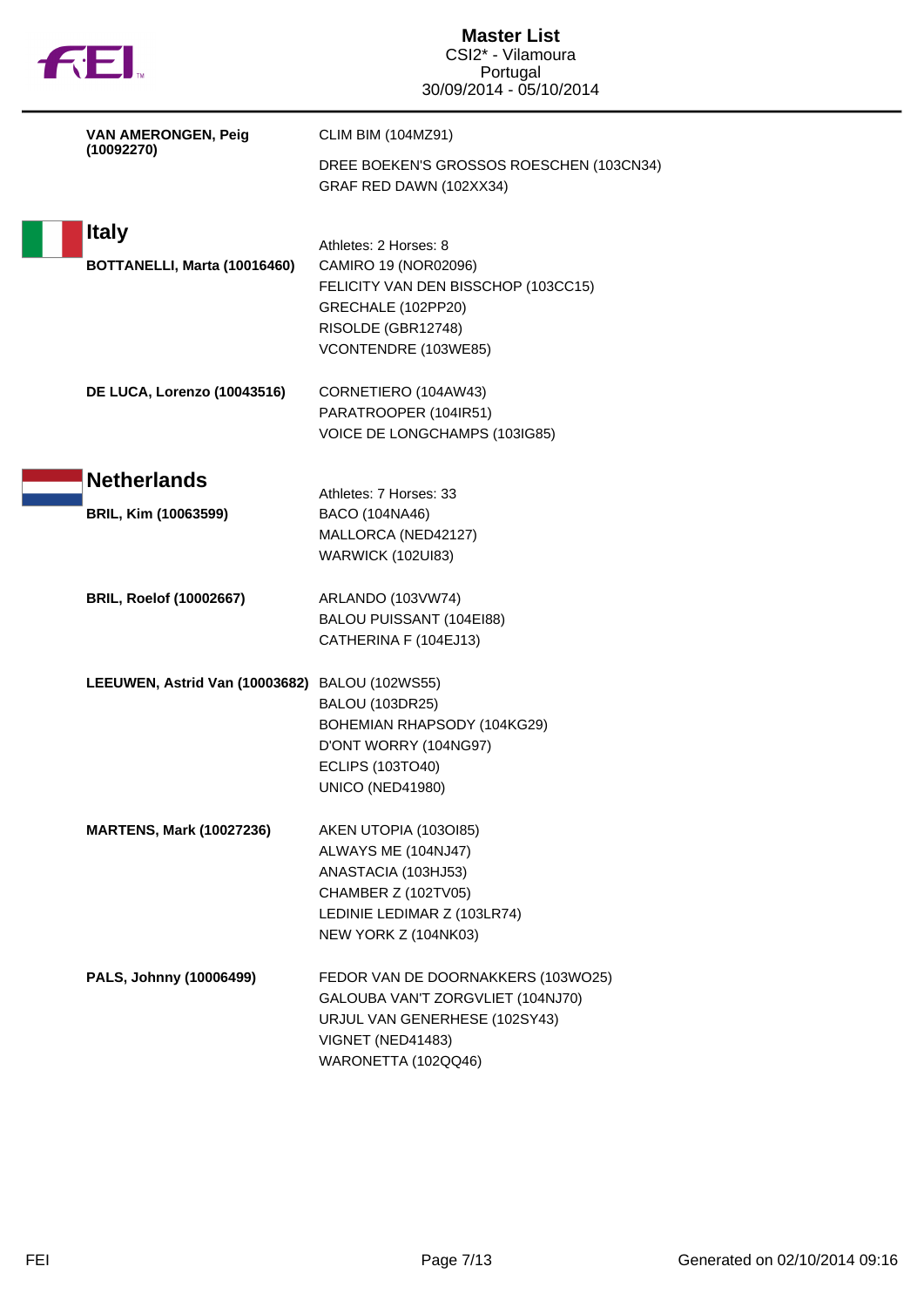| <b>AE</b>                                    | <b>Master List</b><br>CSI2* - Vilamoura<br>Portugal<br>30/09/2014 - 05/10/2014                                                                                                          |
|----------------------------------------------|-----------------------------------------------------------------------------------------------------------------------------------------------------------------------------------------|
| VAN AMERONGEN, Peig<br>(10092270)            | <b>CLIM BIM (104MZ91)</b><br>DREE BOEKEN'S GROSSOS ROESCHEN (103CN34)<br>GRAF RED DAWN (102XX34)                                                                                        |
| <b>Italy</b><br>BOTTANELLI, Marta (10016460) | Athletes: 2 Horses: 8<br>CAMIRO 19 (NOR02096)<br>FELICITY VAN DEN BISSCHOP (103CC15)<br>GRECHALE (102PP20)<br>RISOLDE (GBR12748)<br>VCONTENDRE (103WE85)                                |
| DE LUCA, Lorenzo (10043516)                  | CORNETIERO (104AW43)<br>PARATROOPER (104IR51)<br>VOICE DE LONGCHAMPS (103IG85)                                                                                                          |
| <b>Netherlands</b><br>BRIL, Kim (10063599)   | Athletes: 7 Horses: 33<br>BACO (104NA46)<br>MALLORCA (NED42127)                                                                                                                         |
| <b>BRIL, Roelof (10002667)</b>               | <b>WARWICK (102UI83)</b><br>ARLANDO (103VW74)<br>BALOU PUISSANT (104EI88)                                                                                                               |
| LEEUWEN, Astrid Van (10003682)               | CATHERINA F (104EJ13)<br><b>BALOU (102WS55)</b><br><b>BALOU (103DR25)</b><br>BOHEMIAN RHAPSODY (104KG29)<br>D'ONT WORRY (104NG97)<br><b>ECLIPS (103TO40)</b><br><b>UNICO (NED41980)</b> |
| <b>MARTENS, Mark (10027236)</b>              | AKEN UTOPIA (1030185)<br>ALWAYS ME (104NJ47)<br>ANASTACIA (103HJ53)<br>CHAMBER Z (102TV05)<br>LEDINIE LEDIMAR Z (103LR74)<br>NEW YORK Z (104NK03)                                       |
| PALS, Johnny (10006499)                      | FEDOR VAN DE DOORNAKKERS (103WO25)<br>GALOUBA VAN'T ZORGVLIET (104NJ70)<br>URJUL VAN GENERHESE (102SY43)<br>VIGNET (NED41483)<br>WARONETTA (102QQ46)                                    |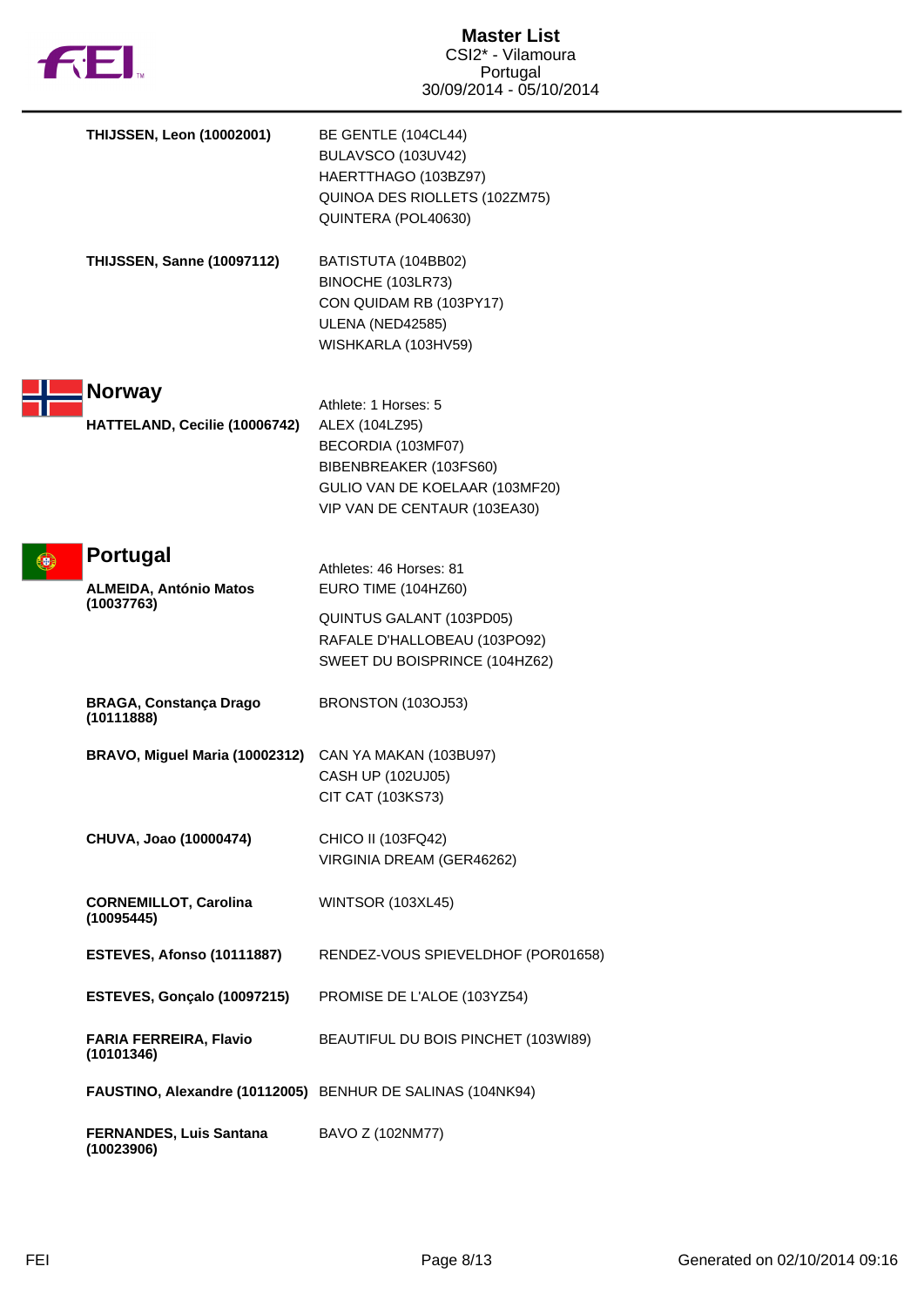

| <b>THIJSSEN, Leon (10002001)</b>                               | BE GENTLE (104CL44)<br>BULAVSCO (103UV42)<br>HAERTTHAGO (103BZ97)<br>QUINOA DES RIOLLETS (102ZM75)<br>QUINTERA (POL40630)                                |
|----------------------------------------------------------------|----------------------------------------------------------------------------------------------------------------------------------------------------------|
| <b>THIJSSEN, Sanne (10097112)</b>                              | BATISTUTA (104BB02)<br>BINOCHE (103LR73)<br>CON QUIDAM RB (103PY17)<br>ULENA (NED42585)<br>WISHKARLA (103HV59)                                           |
| <b>Norway</b><br>HATTELAND, Cecilie (10006742)                 | Athlete: 1 Horses: 5<br>ALEX (104LZ95)<br>BECORDIA (103MF07)<br>BIBENBREAKER (103FS60)<br>GULIO VAN DE KOELAAR (103MF20)<br>VIP VAN DE CENTAUR (103EA30) |
| <b>Portugal</b><br><b>ALMEIDA, António Matos</b><br>(10037763) | Athletes: 46 Horses: 81<br>EURO TIME (104HZ60)<br>QUINTUS GALANT (103PD05)<br>RAFALE D'HALLOBEAU (103PO92)<br>SWEET DU BOISPRINCE (104HZ62)              |
| <b>BRAGA, Constança Drago</b><br>(10111888)                    | BRONSTON (103OJ53)                                                                                                                                       |
| BRAVO, Miguel Maria (10002312)                                 | CAN YA MAKAN (103BU97)<br>CASH UP (102UJ05)<br>CIT CAT (103KS73)                                                                                         |
| CHUVA, Joao (10000474)                                         | CHICO II (103FQ42)<br>VIRGINIA DREAM (GER46262)                                                                                                          |
| <b>CORNEMILLOT, Carolina</b><br>(10095445)                     | <b>WINTSOR (103XL45)</b>                                                                                                                                 |
| ESTEVES, Afonso (10111887)                                     | RENDEZ-VOUS SPIEVELDHOF (POR01658)                                                                                                                       |
| ESTEVES, Gonçalo (10097215)                                    | PROMISE DE L'ALOE (103YZ54)                                                                                                                              |
| FARIA FERREIRA, Flavio<br>(10101346)                           | BEAUTIFUL DU BOIS PINCHET (103WI89)                                                                                                                      |
| FAUSTINO, Alexandre (10112005) BENHUR DE SALINAS (104NK94)     |                                                                                                                                                          |
| <b>FERNANDES, Luis Santana</b><br>(10023906)                   | BAVO Z (102NM77)                                                                                                                                         |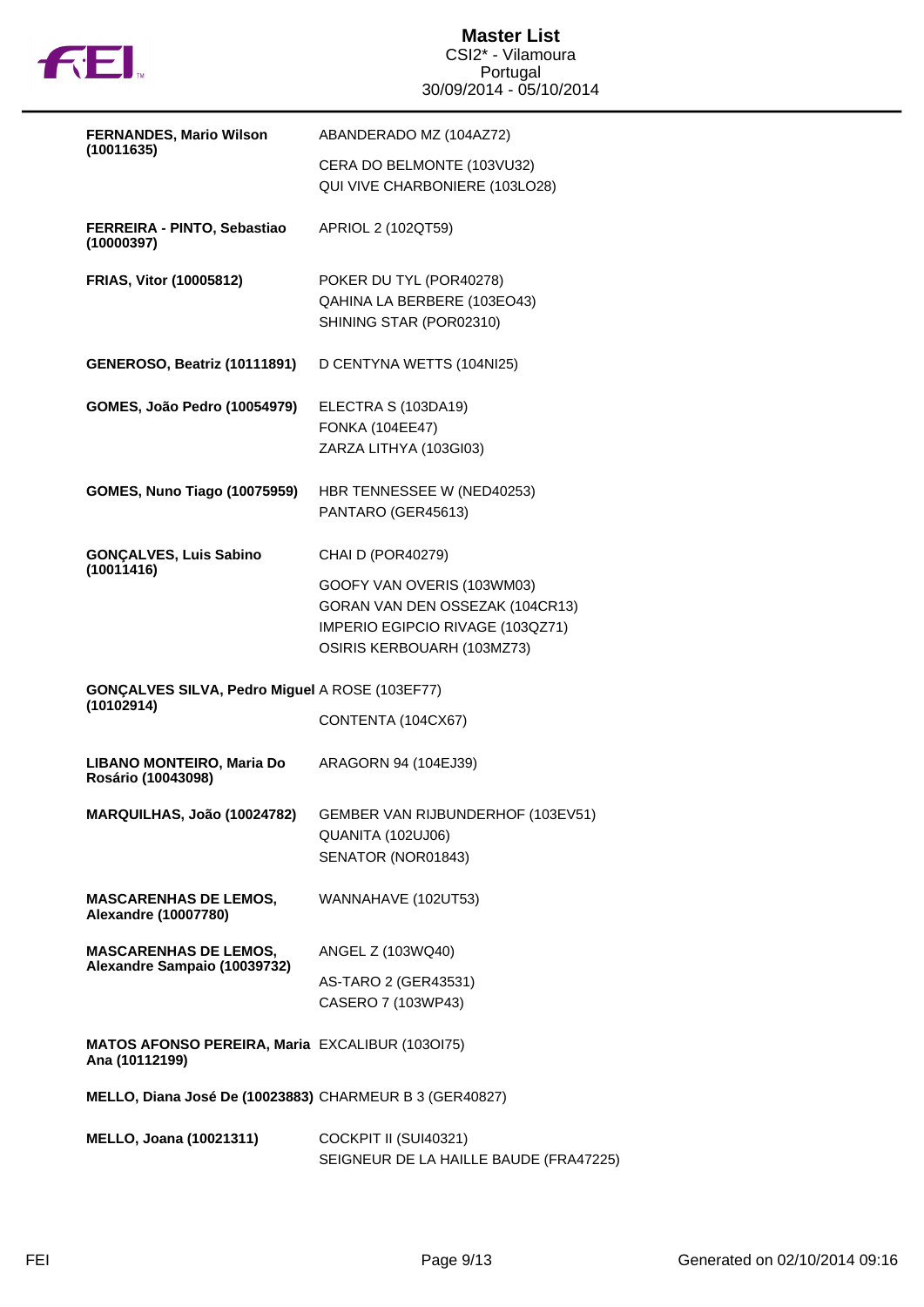

| <b>FERNANDES, Mario Wilson</b>                                           | ABANDERADO MZ (104AZ72)                                                                                                         |
|--------------------------------------------------------------------------|---------------------------------------------------------------------------------------------------------------------------------|
| (10011635)                                                               | CERA DO BELMONTE (103VU32)<br>QUI VIVE CHARBONIERE (103LO28)                                                                    |
| FERREIRA - PINTO, Sebastiao<br>(10000397)                                | APRIOL 2 (102QT59)                                                                                                              |
| <b>FRIAS, Vitor (10005812)</b>                                           | POKER DU TYL (POR40278)<br>QAHINA LA BERBERE (103EO43)<br>SHINING STAR (POR02310)                                               |
| <b>GENEROSO, Beatriz (10111891)</b>                                      | D CENTYNA WETTS (104NI25)                                                                                                       |
| GOMES, João Pedro (10054979)                                             | ELECTRA S (103DA19)<br><b>FONKA (104EE47)</b><br>ZARZA LITHYA (103GI03)                                                         |
| <b>GOMES, Nuno Tiago (10075959)</b>                                      | HBR TENNESSEE W (NED40253)<br>PANTARO (GER45613)                                                                                |
| <b>GONÇALVES, Luis Sabino</b><br>(10011416)                              | CHAI D (POR40279)                                                                                                               |
|                                                                          | GOOFY VAN OVERIS (103WM03)<br>GORAN VAN DEN OSSEZAK (104CR13)<br>IMPERIO EGIPCIO RIVAGE (103QZ71)<br>OSIRIS KERBOUARH (103MZ73) |
| GONÇALVES SILVA, Pedro Miguel A ROSE (103EF77)                           |                                                                                                                                 |
| (10102914)                                                               | CONTENTA (104CX67)                                                                                                              |
| LIBANO MONTEIRO, Maria Do<br>Rosário (10043098)                          | ARAGORN 94 (104EJ39)                                                                                                            |
| MARQUILHAS, João (10024782)                                              | GEMBER VAN RIJBUNDERHOF (103EV51)<br>QUANITA (102UJ06)<br>SENATOR (NOR01843)                                                    |
| <b>MASCARENHAS DE LEMOS,</b><br><b>Alexandre (10007780)</b>              | WANNAHAVE (102UT53)                                                                                                             |
| <b>MASCARENHAS DE LEMOS,</b><br>Alexandre Sampaio (10039732)             | ANGEL Z (103WQ40)                                                                                                               |
|                                                                          | AS-TARO 2 (GER43531)<br>CASERO 7 (103WP43)                                                                                      |
| <b>MATOS AFONSO PEREIRA, Maria EXCALIBUR (1030175)</b><br>Ana (10112199) |                                                                                                                                 |
| MELLO, Diana José De (10023883) CHARMEUR B 3 (GER40827)                  |                                                                                                                                 |
| <b>MELLO, Joana (10021311)</b>                                           | COCKPIT II (SUI40321)<br>SEIGNEUR DE LA HAILLE BAUDE (FRA47225)                                                                 |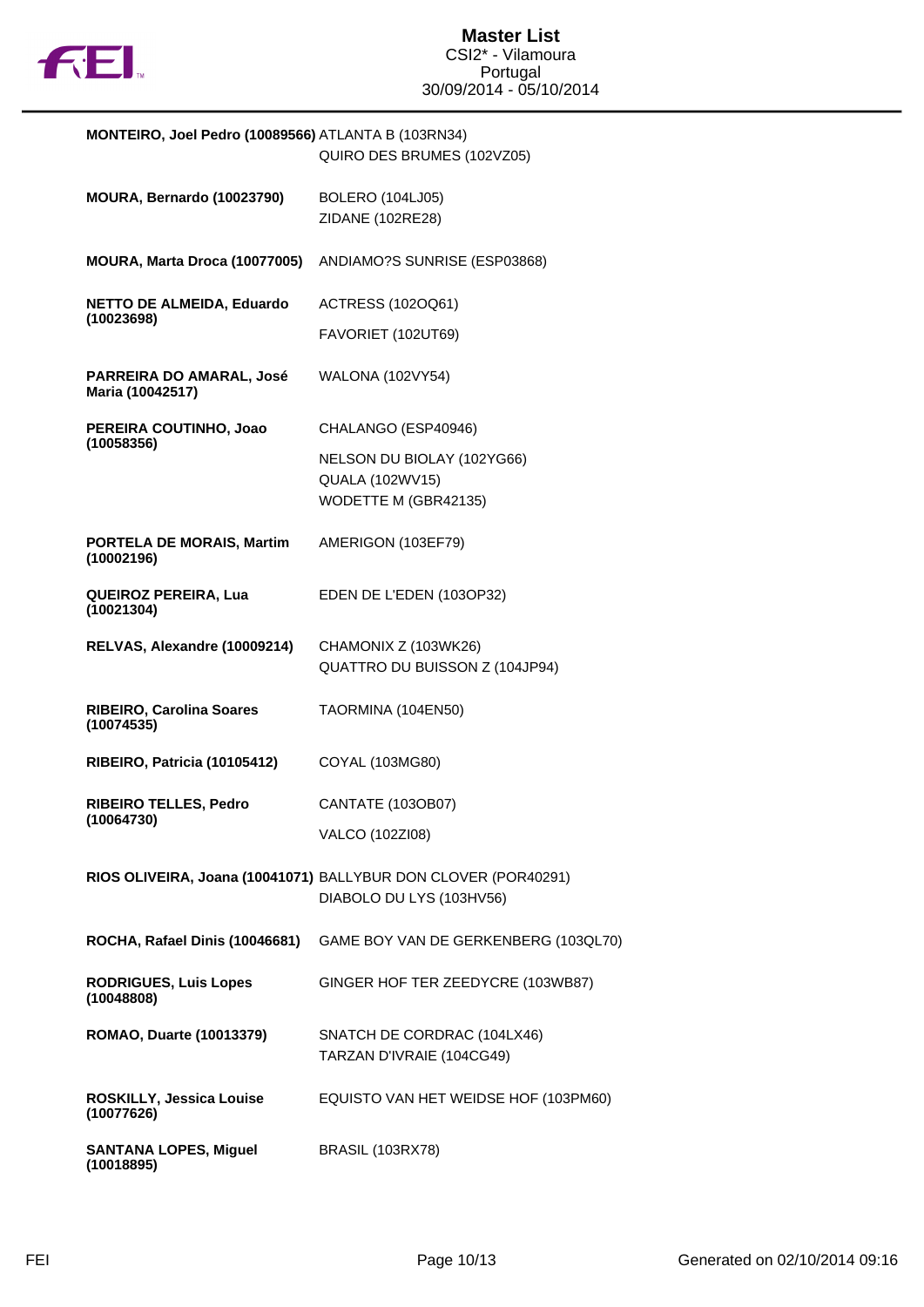

| MONTEIRO, Joel Pedro (10089566) ATLANTA B (103RN34) | QUIRO DES BRUMES (102VZ05)                                                                 |
|-----------------------------------------------------|--------------------------------------------------------------------------------------------|
| MOURA, Bernardo (10023790)                          | <b>BOLERO (104LJ05)</b><br>ZIDANE (102RE28)                                                |
| MOURA, Marta Droca (10077005)                       | ANDIAMO?S SUNRISE (ESP03868)                                                               |
| <b>NETTO DE ALMEIDA, Eduardo</b><br>(10023698)      | ACTRESS (102OQ61)                                                                          |
|                                                     | FAVORIET (102UT69)                                                                         |
| PARREIRA DO AMARAL, José<br>Maria (10042517)        | <b>WALONA (102VY54)</b>                                                                    |
| PEREIRA COUTINHO, Joao<br>(10058356)                | CHALANGO (ESP40946)                                                                        |
|                                                     | NELSON DU BIOLAY (102YG66)<br>QUALA (102WV15)<br>WODETTE M (GBR42135)                      |
| <b>PORTELA DE MORAIS, Martim</b><br>(10002196)      | AMERIGON (103EF79)                                                                         |
| <b>QUEIROZ PEREIRA, Lua</b><br>(10021304)           | EDEN DE L'EDEN (103OP32)                                                                   |
| RELVAS, Alexandre (10009214)                        | CHAMONIX Z (103WK26)<br>QUATTRO DU BUISSON Z (104JP94)                                     |
| <b>RIBEIRO, Carolina Soares</b><br>(10074535)       | TAORMINA (104EN50)                                                                         |
| RIBEIRO, Patricia (10105412)                        | COYAL (103MG80)                                                                            |
| <b>RIBEIRO TELLES, Pedro</b><br>(10064730)          | CANTATE (103OB07)                                                                          |
|                                                     | VALCO (102ZI08)                                                                            |
|                                                     | RIOS OLIVEIRA, Joana (10041071) BALLYBUR DON CLOVER (POR40291)<br>DIABOLO DU LYS (103HV56) |
| ROCHA, Rafael Dinis (10046681)                      | GAME BOY VAN DE GERKENBERG (103QL70)                                                       |
| <b>RODRIGUES, Luis Lopes</b><br>(10048808)          | GINGER HOF TER ZEEDYCRE (103WB87)                                                          |
| ROMAO, Duarte (10013379)                            | SNATCH DE CORDRAC (104LX46)<br>TARZAN D'IVRAIE (104CG49)                                   |
| ROSKILLY, Jessica Louise<br>(10077626)              | EQUISTO VAN HET WEIDSE HOF (103PM60)                                                       |
| <b>SANTANA LOPES, Miguel</b><br>(10018895)          | <b>BRASIL (103RX78)</b>                                                                    |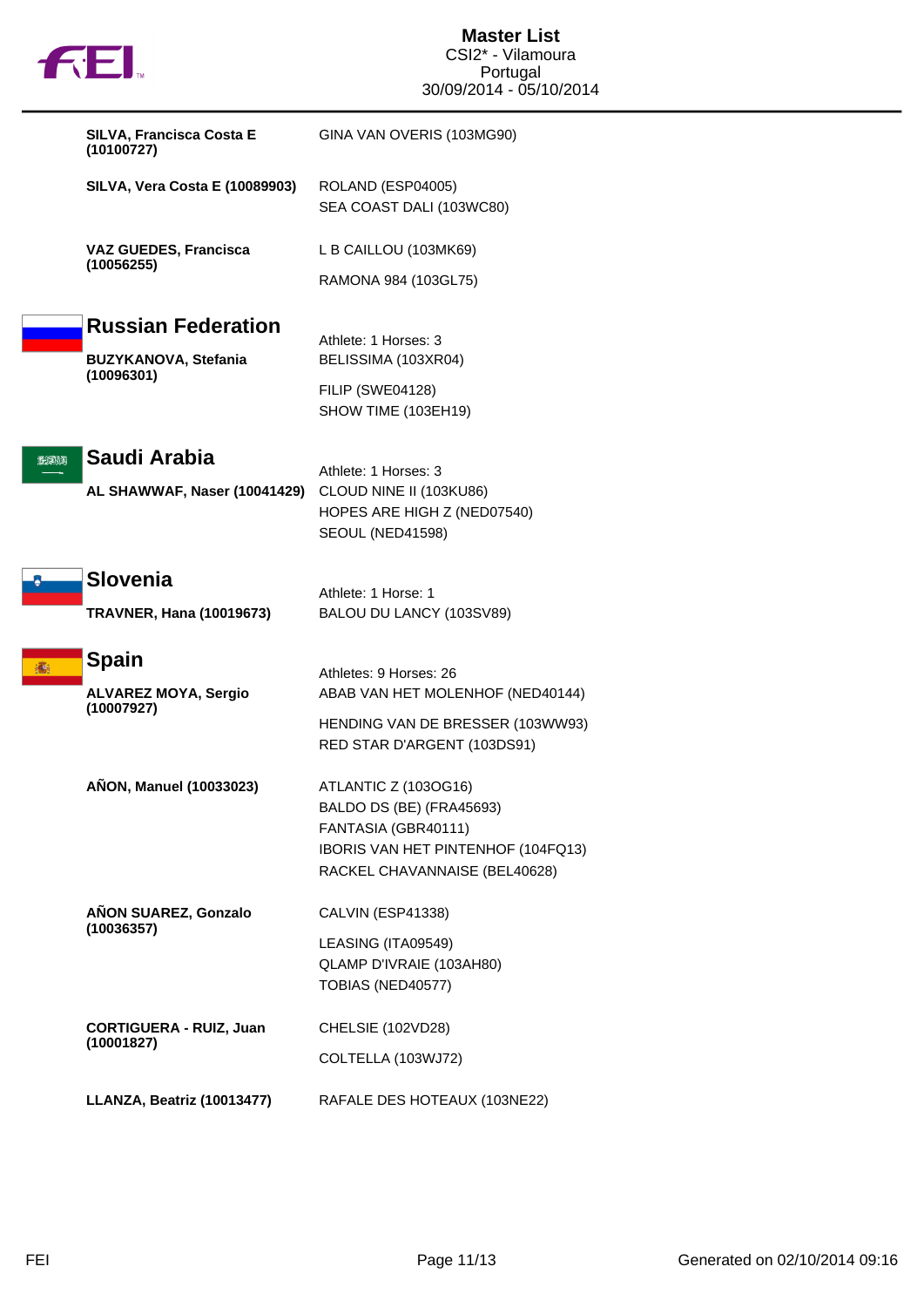|                              | fill.                                                           | <b>Master List</b><br>CSI2* - Vilamoura<br>Portugal<br>30/09/2014 - 05/10/2014                                                                 |
|------------------------------|-----------------------------------------------------------------|------------------------------------------------------------------------------------------------------------------------------------------------|
|                              | SILVA, Francisca Costa E<br>(10100727)                          | GINA VAN OVERIS (103MG90)                                                                                                                      |
|                              | <b>SILVA, Vera Costa E (10089903)</b>                           | ROLAND (ESP04005)<br>SEA COAST DALI (103WC80)                                                                                                  |
| <b>VAZ GUEDES, Francisca</b> | (10056255)                                                      | L B CAILLOU (103MK69)                                                                                                                          |
|                              |                                                                 | RAMONA 984 (103GL75)                                                                                                                           |
|                              | <b>Russian Federation</b><br>BUZYKANOVA, Stefania<br>(10096301) | Athlete: 1 Horses: 3<br>BELISSIMA (103XR04)                                                                                                    |
|                              |                                                                 | FILIP (SWE04128)<br>SHOW TIME (103EH19)                                                                                                        |
| 202013                       | Saudi Arabia<br>AL SHAWWAF, Naser (10041429)                    | Athlete: 1 Horses: 3<br>CLOUD NINE II (103KU86)<br>HOPES ARE HIGH Z (NED07540)<br>SEOUL (NED41598)                                             |
|                              | <b>Slovenia</b><br><b>TRAVNER, Hana (10019673)</b>              | Athlete: 1 Horse: 1<br>BALOU DU LANCY (103SV89)                                                                                                |
|                              | <b>Spain</b><br><b>ALVAREZ MOYA, Sergio</b><br>(10007927)       | Athletes: 9 Horses: 26<br>ABAB VAN HET MOLENHOF (NED40144)<br>HENDING VAN DE BRESSER (103WW93)<br>RED STAR D'ARGENT (103DS91)                  |
|                              | AÑON, Manuel (10033023)                                         | ATLANTIC Z (103OG16)<br>BALDO DS (BE) (FRA45693)<br>FANTASIA (GBR40111)<br>IBORIS VAN HET PINTENHOF (104FQ13)<br>RACKEL CHAVANNAISE (BEL40628) |
|                              | AÑON SUAREZ, Gonzalo<br>(10036357)                              | CALVIN (ESP41338)<br>LEASING (ITA09549)<br>QLAMP D'IVRAIE (103AH80)<br>TOBIAS (NED40577)                                                       |
|                              | <b>CORTIGUERA - RUIZ, Juan</b><br>(10001827)                    | CHELSIE (102VD28)<br>COLTELLA (103WJ72)                                                                                                        |
|                              | LLANZA, Beatriz (10013477)                                      | RAFALE DES HOTEAUX (103NE22)                                                                                                                   |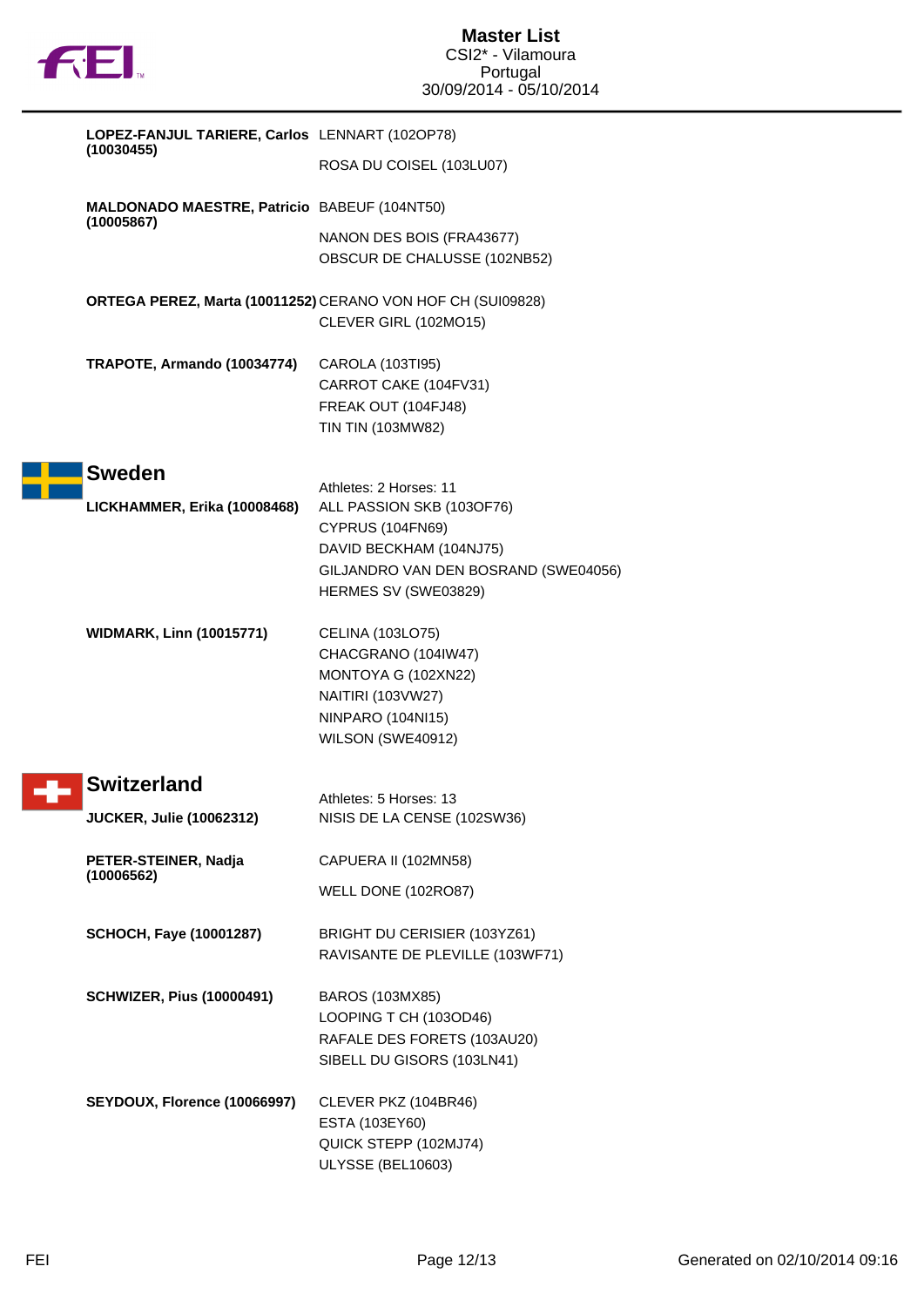

|  | LOPEZ-FANJUL TARIERE, Carlos LENNART (102OP78)<br>(10030455)      |                                                                                                                                                 |
|--|-------------------------------------------------------------------|-------------------------------------------------------------------------------------------------------------------------------------------------|
|  |                                                                   | ROSA DU COISEL (103LU07)                                                                                                                        |
|  | <b>MALDONADO MAESTRE, Patricio BABEUF (104NT50)</b><br>(10005867) |                                                                                                                                                 |
|  |                                                                   | NANON DES BOIS (FRA43677)<br>OBSCUR DE CHALUSSE (102NB52)                                                                                       |
|  |                                                                   | ORTEGA PEREZ, Marta (10011252) CERANO VON HOF CH (SUI09828)<br>CLEVER GIRL (102MO15)                                                            |
|  | TRAPOTE, Armando (10034774)                                       | CAROLA (103TI95)<br>CARROT CAKE (104FV31)<br>FREAK OUT (104FJ48)<br>TIN TIN (103MW82)                                                           |
|  | <b>Sweden</b>                                                     | Athletes: 2 Horses: 11                                                                                                                          |
|  | LICKHAMMER, Erika (10008468)                                      | ALL PASSION SKB (103OF76)<br><b>CYPRUS (104FN69)</b><br>DAVID BECKHAM (104NJ75)<br>GILJANDRO VAN DEN BOSRAND (SWE04056)<br>HERMES SV (SWE03829) |
|  | <b>WIDMARK, Linn (10015771)</b>                                   | CELINA (103LO75)<br>CHACGRANO (104IW47)<br>MONTOYA G (102XN22)<br>NAITIRI (103VW27)<br><b>NINPARO (104NI15)</b><br>WILSON (SWE40912)            |
|  | <b>Switzerland</b>                                                | Athletes: 5 Horses: 13                                                                                                                          |
|  | <b>JUCKER, Julie (10062312)</b>                                   | NISIS DE LA CENSE (102SW36)                                                                                                                     |
|  | PETER-STEINER, Nadja                                              | CAPUERA II (102MN58)                                                                                                                            |
|  | (10006562)                                                        | WELL DONE (102RO87)                                                                                                                             |
|  | <b>SCHOCH, Faye (10001287)</b>                                    | BRIGHT DU CERISIER (103YZ61)<br>RAVISANTE DE PLEVILLE (103WF71)                                                                                 |
|  | <b>SCHWIZER, Pius (10000491)</b>                                  | BAROS (103MX85)<br>LOOPING T CH (103OD46)<br>RAFALE DES FORETS (103AU20)<br>SIBELL DU GISORS (103LN41)                                          |
|  | SEYDOUX, Florence (10066997)                                      | CLEVER PKZ (104BR46)<br>ESTA (103EY60)<br>QUICK STEPP (102MJ74)<br>ULYSSE (BEL10603)                                                            |